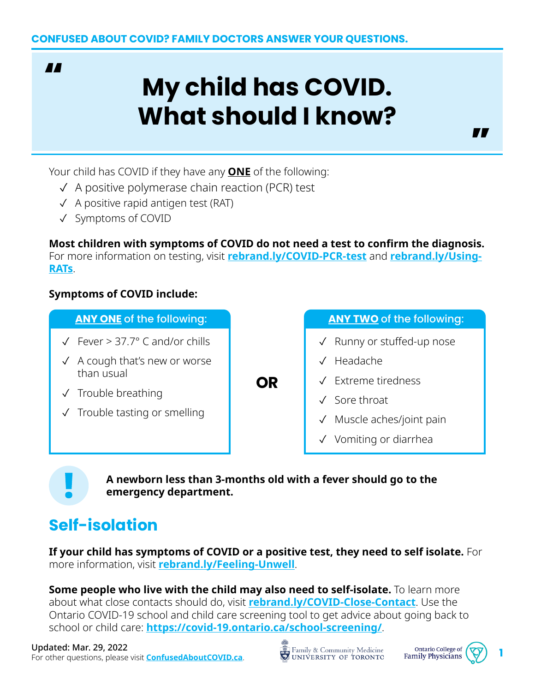**AA** 

# **My child has COVID. What should I know?**

Your child has COVID if they have any **ONE** of the following:

- ✓ A positive polymerase chain reaction (PCR) test
- ✓ A positive rapid antigen test (RAT)
- ✓ Symptoms of COVID

**Most children with symptoms of COVID do not need a test to confirm the diagnosis.**  For more information on testing, visit **[rebrand.ly/COVID-PCR-test](http://rebrand.ly/COVID-PCR-test)** and **[rebrand.ly/Using-](http://rebrand.ly/Using-RATs)[RATs](http://rebrand.ly/Using-RATs)**.

**OR**

## **Symptoms of COVID include:**

- ✓ Fever > 37.7° C and/or chills
- $\sqrt{ }$  A cough that's new or worse than usual
- ✓ Trouble breathing
- ✓ Trouble tasting or smelling

**ANY ONE** of the following: **ANY TWO** of the following:

**77** 

- ✓ Runny or stuffed-up nose
- ✓ Headache
- Extreme tiredness
- Sore throat
- Muscle aches/joint pain
- ✓ Vomiting or diarrhea

**A newborn less than 3-months old with a fever should go to the emergency department.**

# **Self-isolation**

**If your child has symptoms of COVID or a positive test, they need to self isolate.** For more information, visit **[rebrand.ly/Feeling-Unwell](https://rebrand.ly/Feeling-Unwell)**.

**Some people who live with the child may also need to self-isolate.** To learn more about what close contacts should do, visit **[rebrand.ly/COVID-Close-Contact](http://rebrand.ly/COVID-Close-Contact)**. Use the Ontario COVID-19 school and child care screening tool to get advice about going back to school or child care: **<https://covid-19.ontario.ca/school-screening/>**.

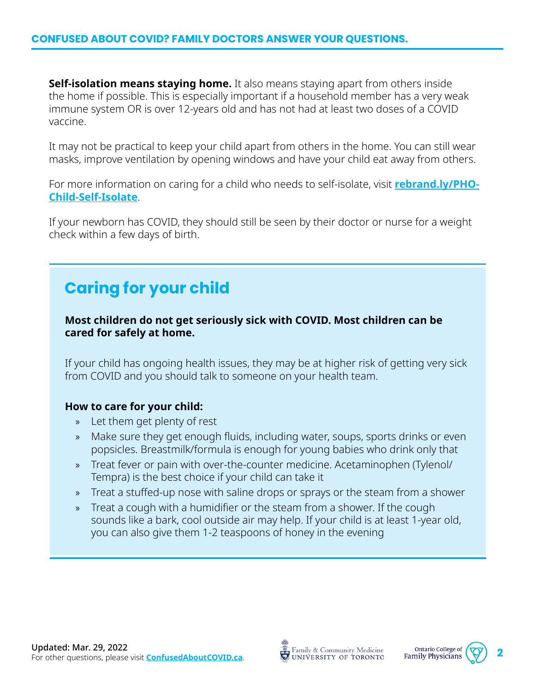**Self-isolation means staying home.** It also means staying apart from others inside the home if possible. This is especially important if a household member has a very weak immune system OR is over 12-years old and has not had at least two doses of a COVID vaccine.

It may not be practical to keep your child apart from others in the home. You can still wear masks, improve ventilation by opening windows and have your child eat away from others.

For more information on caring for a child who needs to self-isolate, visit **[rebrand.ly/PHO-](http://rebrand.ly/PHO-Child-Self-Isolate)[Child-Self-Isolate](http://rebrand.ly/PHO-Child-Self-Isolate)**.

If your newborn has COVID, they should still be seen by their doctor or nurse for a weight check within a few days of birth.

# **Caring for your child**

**Most children do not get seriously sick with COVID. Most children can be cared for safely at home.** 

If your child has ongoing health issues, they may be at higher risk of getting very sick from COVID and you should talk to someone on your health team.

#### **How to care for your child:**

- » Let them get plenty of rest
- » Make sure they get enough fluids, including water, soups, sports drinks or even popsicles. Breastmilk/formula is enough for young babies who drink only that
- » Treat fever or pain with over-the-counter medicine. Acetaminophen (Tylenol/ Tempra) is the best choice if your child can take it
- » Treat a stuffed-up nose with saline drops or sprays or the steam from a shower
- » Treat a cough with a humidifier or the steam from a shower. If the cough sounds like a bark, cool outside air may help. If your child is at least 1-year old, you can also give them 1-2 teaspoons of honey in the evening